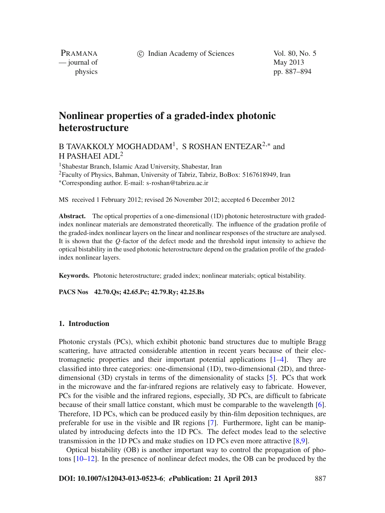c Indian Academy of Sciences Vol. 80, No. 5

PRAMANA — journal of May 2013

physics pp. 887–894

# **Nonlinear properties of a graded-index photonic heterostructure**

B TAVAKKOLY MOGHADDAM<sup>1</sup>, S ROSHAN ENTEZAR<sup>2,\*</sup> and H PASHAEI ADL2

<sup>1</sup> Shabestar Branch, Islamic Azad University, Shabestar, Iran 2Faculty of Physics, Bahman, University of Tabriz, Tabriz, BoBox: 5167618949, Iran <sup>∗</sup>Corresponding author. E-mail: s-roshan@tabrizu.ac.ir

MS received 1 February 2012; revised 26 November 2012; accepted 6 December 2012

**Abstract.** The optical properties of a one-dimensional (1D) photonic heterostructure with gradedindex nonlinear materials are demonstrated theoretically. The influence of the gradation profile of the graded-index nonlinear layers on the linear and nonlinear responses of the structure are analysed. It is shown that the *Q*-factor of the defect mode and the threshold input intensity to achieve the optical bistability in the used photonic heterostructure depend on the gradation profile of the gradedindex nonlinear layers.

**Keywords.** Photonic heterostructure; graded index; nonlinear materials; optical bistability.

**PACS Nos 42.70.Qs; 42.65.Pc; 42.79.Ry; 42.25.Bs**

# **1. Introduction**

Photonic crystals (PCs), which exhibit photonic band structures due to multiple Bragg scattering, have attracted considerable attention in recent years because of their electromagnetic properties and their important potential applications [\[1](#page-7-0)[–4](#page-7-1)]. They are classified into three categories: one-dimensional (1D), two-dimensional (2D), and threedimensional (3D) crystals in terms of the dimensionality of stacks [\[5\]](#page-7-2). PCs that work in the microwave and the far-infrared regions are relatively easy to fabricate. However, PCs for the visible and the infrared regions, especially, 3D PCs, are difficult to fabricate because of their small lattice constant, which must be comparable to the wavelength [\[6](#page-7-3)]. Therefore, 1D PCs, which can be produced easily by thin-film deposition techniques, are preferable for use in the visible and IR regions [\[7\]](#page-7-4). Furthermore, light can be manipulated by introducing defects into the 1D PCs. The defect modes lead to the selective transmission in the 1D PCs and make studies on 1D PCs even more attractive [\[8](#page-7-5)[,9](#page-7-6)].

Optical bistability (OB) is another important way to control the propagation of photons [\[10](#page-7-7)[–12](#page-7-8)]. In the presence of nonlinear defect modes, the OB can be produced by the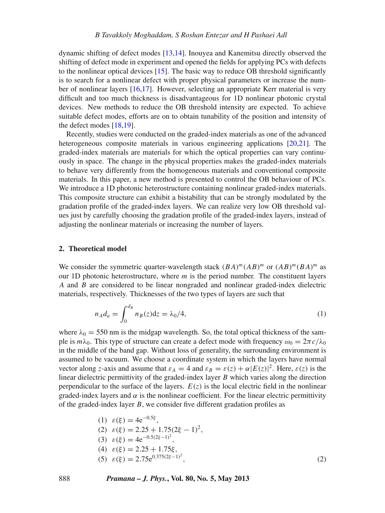dynamic shifting of defect modes [\[13](#page-7-9)[,14](#page-7-10)]. Inouyea and Kanemitsu directly observed the shifting of defect mode in experiment and opened the fields for applying PCs with defects to the nonlinear optical devices [\[15](#page-7-11)]. The basic way to reduce OB threshold significantly is to search for a nonlinear defect with proper physical parameters or increase the number of nonlinear layers [\[16](#page-7-12)[,17](#page-7-13)]. However, selecting an appropriate Kerr material is very difficult and too much thickness is disadvantageous for 1D nonlinear photonic crystal devices. New methods to reduce the OB threshold intensity are expected. To achieve suitable defect modes, efforts are on to obtain tunability of the position and intensity of the defect modes [\[18](#page-7-14)[,19\]](#page-7-15).

Recently, studies were conducted on the graded-index materials as one of the advanced heterogeneous composite materials in various engineering applications [\[20](#page-7-16)[,21\]](#page-7-17). The graded-index materials are materials for which the optical properties can vary continuously in space. The change in the physical properties makes the graded-index materials to behave very differently from the homogeneous materials and conventional composite materials. In this paper, a new method is presented to control the OB behaviour of PCs. We introduce a 1D photonic heterostructure containing nonlinear graded-index materials. This composite structure can exhibit a bistability that can be strongly modulated by the gradation profile of the graded-index layers. We can realize very low OB threshold values just by carefully choosing the gradation profile of the graded-index layers, instead of adjusting the nonlinear materials or increasing the number of layers.

#### **2. Theoretical model**

We consider the symmetric quarter-wavelength stack  $(BA)^m (AB)^m$  or  $(AB)^m (BA)^m$  as our 1D photonic heterostructure, where *m* is the period number. The constituent layers *A* and *B* are considered to be linear nongraded and nonlinear graded-index dielectric materials, respectively. Thicknesses of the two types of layers are such that

$$
n_A d_a = \int_0^{d_B} n_B(z) \mathrm{d}z = \lambda_0 / 4,\tag{1}
$$

where  $\lambda_0 = 550$  nm is the midgap wavelength. So, the total optical thickness of the sample is  $m\lambda_0$ . This type of structure can create a defect mode with frequency  $\omega_0 = 2\pi c/\lambda_0$ in the middle of the band gap. Without loss of generality, the surrounding environment is assumed to be vacuum. We choose a coordinate system in which the layers have normal vector along *z*-axis and assume that  $\varepsilon_A = 4$  and  $\varepsilon_B = \varepsilon(z) + \alpha |E(z)|^2$ . Here,  $\varepsilon(z)$  is the linear dielectric permittivity of the graded-index layer *B* which varies along the direction perpendicular to the surface of the layers.  $E(z)$  is the local electric field in the nonlinear graded-index layers and  $\alpha$  is the nonlinear coefficient. For the linear electric permittivity of the graded-index layer *B*, we consider five different gradation profiles as

(1) 
$$
\varepsilon(\xi) = 4e^{-0.5\xi}
$$
,  
\n(2)  $\varepsilon(\xi) = 2.25 + 1.75(2\xi - 1)^2$ ,  
\n(3)  $\varepsilon(\xi) = 4e^{-0.5(2\xi - 1)^2}$ ,  
\n(4)  $\varepsilon(\xi) = 2.25 + 1.75\xi$ ,  
\n(5)  $\varepsilon(\xi) = 2.75e^{0.375(2\xi - 1)^2}$ , (2)

888 *Pramana – J. Phys.***, Vol. 80, No. 5, May 2013**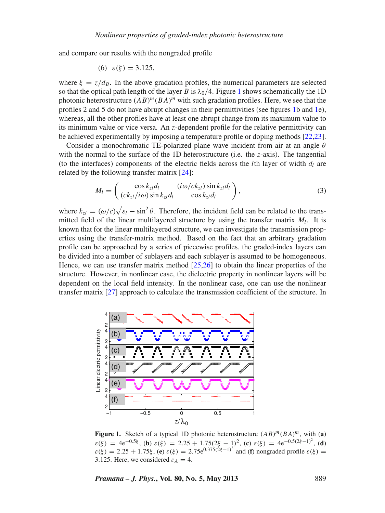and compare our results with the nongraded profile

(6) 
$$
\varepsilon(\xi) = 3.125
$$
,

where  $\xi = z/d_B$ . In the above gradation profiles, the numerical parameters are selected so that the optical path length of the layer *B* is  $\lambda_0/4$ . Figure [1](#page-2-0) shows schematically the 1D photonic heterostructure  $(AB)^m(BA)^m$  with such gradation profiles. Here, we see that the profiles 2 and 5 do not have abrupt changes in their permittivities (see figures [1b](#page-2-0) and [1e](#page-2-0)), whereas, all the other profiles have at least one abrupt change from its maximum value to its minimum value or vice versa. An *z*-dependent profile for the relative permittivity can be achieved experimentally by imposing a temperature profile or doping methods [\[22](#page-7-18)[,23](#page-7-19)].

Consider a monochromatic TE-polarized plane wave incident from air at an angle  $\theta$ with the normal to the surface of the 1D heterostructure (i.e. the *z*-axis). The tangential (to the interfaces) components of the electric fields across the *l*th layer of width  $d_l$  are related by the following transfer matrix [\[24](#page-7-20)]:

$$
M_l = \begin{pmatrix} \cos k_{z_l} d_l & (i\omega/ck_{z_l}) \sin k_{z_l} d_l \\ (ck_{z_l}/i\omega) \sin k_{z_l} d_l & \cos k_{z_l} d_l \end{pmatrix},\tag{3}
$$

where  $k_{z} = (\omega/c)\sqrt{\varepsilon_l - \sin^2 \theta}$ . Therefore, the incident field can be related to the transmitted field of the linear multilayered structure by using the transfer matrix  $M_l$ . It is known that for the linear multilayered structure, we can investigate the transmission properties using the transfer-matrix method. Based on the fact that an arbitrary gradation profile can be approached by a series of piecewise profiles, the graded-index layers can be divided into a number of sublayers and each sublayer is assumed to be homogeneous. Hence, we can use transfer matrix method  $[25,26]$  $[25,26]$  to obtain the linear properties of the structure. However, in nonlinear case, the dielectric property in nonlinear layers will be dependent on the local field intensity. In the nonlinear case, one can use the nonlinear transfer matrix [\[27\]](#page-7-23) approach to calculate the transmission coefficient of the structure. In

<span id="page-2-0"></span>

**Figure 1.** Sketch of a typical 1D photonic heterostructure  $(AB)^m(BA)^m$ , with (a)  $\varepsilon(\xi) = 4e^{-0.5\xi},$  (**b**)  $\varepsilon(\xi) = 2.25 + 1.75(2\xi - 1)^2$ , (**c**)  $\varepsilon(\xi) = 4e^{-0.5(2\xi - 1)^2}$ , (**d**)  $\varepsilon(\xi) = 2.25 + 1.75\xi$ , (**e**)  $\varepsilon(\xi) = 2.75e^{0.375(\xi\xi - 1)^2}$  and (**f**) nongraded profile  $\varepsilon(\xi) =$ 3.125. Here, we considered  $\varepsilon_A = 4$ .

*Pramana – J. Phys.***, Vol. 80, No. 5, May 2013** 889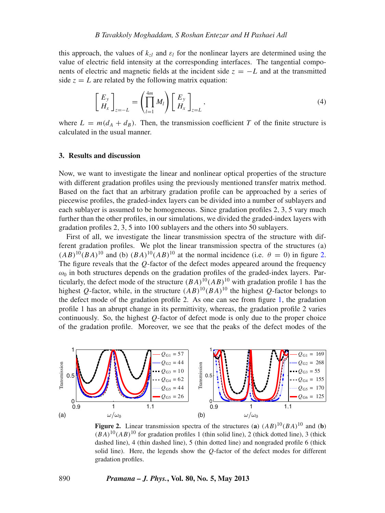this approach, the values of  $k_z$  and  $\varepsilon_l$  for the nonlinear layers are determined using the value of electric field intensity at the corresponding interfaces. The tangential components of electric and magnetic fields at the incident side  $z = -L$  and at the transmitted side  $z = L$  are related by the following matrix equation:

$$
\begin{bmatrix} E_y \\ H_x \end{bmatrix}_{z=-L} = \left( \prod_{l=1}^{4m} M_l \right) \begin{bmatrix} E_y \\ H_x \end{bmatrix}_{z=L}, \tag{4}
$$

where  $L = m(d_A + d_B)$ . Then, the transmission coefficient *T* of the finite structure is calculated in the usual manner.

### **3. Results and discussion**

Now, we want to investigate the linear and nonlinear optical properties of the structure with different gradation profiles using the previously mentioned transfer matrix method. Based on the fact that an arbitrary gradation profile can be approached by a series of piecewise profiles, the graded-index layers can be divided into a number of sublayers and each sublayer is assumed to be homogeneous. Since gradation profiles 2, 3, 5 vary much further than the other profiles, in our simulations, we divided the graded-index layers with gradation profiles 2, 3, 5 into 100 sublayers and the others into 50 sublayers.

First of all, we investigate the linear transmission spectra of the structure with different gradation profiles. We plot the linear transmission spectra of the structures (a)  $(AB)^{10}(BA)^{10}$  and (b)  $(BA)^{10}(AB)^{10}$  at the normal incidence (i.e.  $\theta = 0$ ) in figure [2.](#page-3-0) The figure reveals that the *Q*-factor of the defect modes appeared around the frequency  $\omega_0$  in both structures depends on the gradation profiles of the graded-index layers. Particularly, the defect mode of the structure  $(BA)^{10}(AB)^{10}$  with gradation profile 1 has the highest *Q*-factor, while, in the structure  $(AB)^{10}(BA)^{10}$  the highest *Q*-factor belongs to the defect mode of the gradation profile 2. As one can see from figure [1,](#page-2-0) the gradation profile 1 has an abrupt change in its permittivity, whereas, the gradation profile 2 varies continuously. So, the highest *Q*-factor of defect mode is only due to the proper choice of the gradation profile. Moreover, we see that the peaks of the defect modes of the

<span id="page-3-0"></span>

**Figure 2.** Linear transmission spectra of the structures (a)  $(AB)^{10}(BA)^{10}$  and (b)  $(BA)^{10}(AB)^{10}$  for gradation profiles 1 (thin solid line), 2 (thick dotted line), 3 (thick dashed line), 4 (thin dashed line), 5 (thin dotted line) and nongraded profile 6 (thick solid line). Here, the legends show the *Q*-factor of the defect modes for different gradation profiles.

#### 890 *Pramana – J. Phys.***, Vol. 80, No. 5, May 2013**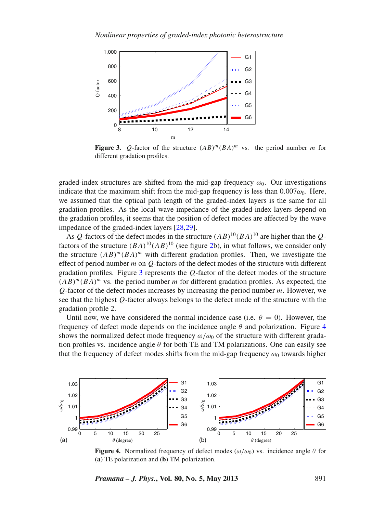<span id="page-4-0"></span>

**Figure 3.** *Q*-factor of the structure  $(AB)^m (BA)^m$  vs. the period number *m* for different gradation profiles.

graded-index structures are shifted from the mid-gap frequency  $\omega_0$ . Our investigations indicate that the maximum shift from the mid-gap frequency is less than  $0.007\omega_0$ . Here, we assumed that the optical path length of the graded-index layers is the same for all gradation profiles. As the local wave impedance of the graded-index layers depend on the gradation profiles, it seems that the position of defect modes are affected by the wave impedance of the graded-index layers [\[28](#page-7-24)[,29\]](#page-7-25).

As *Q*-factors of the defect modes in the structure  $(AB)^{10}(BA)^{10}$  are higher than the *O*factors of the structure  $(BA)^{10}(AB)^{10}$  (see figure [2b](#page-3-0)), in what follows, we consider only the structure  $(AB)^m(BA)^m$  with different gradation profiles. Then, we investigate the effect of period number *m* on *Q*-factors of the defect modes of the structure with different gradation profiles. Figure [3](#page-4-0) represents the *Q*-factor of the defect modes of the structure  $(AB)^m (BA)^m$  vs. the period number *m* for different gradation profiles. As expected, the *Q*-factor of the defect modes increases by increasing the period number *m*. However, we see that the highest *Q*-factor always belongs to the defect mode of the structure with the gradation profile 2.

Until now, we have considered the normal incidence case (i.e.  $\theta = 0$ ). However, the frequency of defect mode depends on the incidence angle  $\theta$  and polarization. Figure [4](#page-4-1) shows the normalized defect mode frequency  $\omega/\omega_0$  of the structure with different gradation profiles vs. incidence angle  $\theta$  for both TE and TM polarizations. One can easily see that the frequency of defect modes shifts from the mid-gap frequency  $\omega_0$  towards higher

<span id="page-4-1"></span>

**Figure 4.** Normalized frequency of defect modes ( $\omega/\omega_0$ ) vs. incidence angle  $\theta$  for (**a**) TE polarization and (**b**) TM polarization.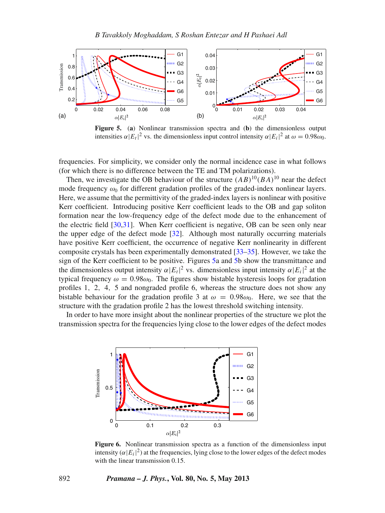<span id="page-5-0"></span>

**Figure 5.** (**a**) Nonlinear transmission spectra and (**b**) the dimensionless output intensities  $\alpha |E_t|^2$  vs. the dimensionless input control intensity  $\alpha |E_i|^2$  at  $\omega = 0.98\omega_0$ .

frequencies. For simplicity, we consider only the normal incidence case in what follows (for which there is no difference between the TE and TM polarizations).

Then, we investigate the OB behaviour of the structure  $(AB)^{10}(BA)^{10}$  near the defect mode frequency  $\omega_0$  for different gradation profiles of the graded-index nonlinear layers. Here, we assume that the permittivity of the graded-index layers is nonlinear with positive Kerr coefficient. Introducing positive Kerr coefficient leads to the OB and gap soliton formation near the low-frequency edge of the defect mode due to the enhancement of the electric field [\[30](#page-7-26)[,31\]](#page-7-27). When Kerr coefficient is negative, OB can be seen only near the upper edge of the defect mode [\[32\]](#page-7-28). Although most naturally occurring materials have positive Kerr coefficient, the occurrence of negative Kerr nonlinearity in different composite crystals has been experimentally demonstrated [\[33](#page-7-29)[–35\]](#page-7-30). However, we take the sign of the Kerr coefficient to be positive. Figures [5a](#page-5-0) and [5b](#page-5-0) show the transmittance and the dimensionless output intensity  $\alpha |E_t|^2$  vs. dimensionless input intensity  $\alpha |E_t|^2$  at the typical frequency  $\omega = 0.98\omega_0$ . The figures show bistable hysteresis loops for gradation profiles 1, 2, 4, 5 and nongraded profile 6, whereas the structure does not show any bistable behaviour for the gradation profile 3 at  $\omega = 0.98\omega_0$ . Here, we see that the structure with the gradation profile 2 has the lowest threshold switching intensity.

<span id="page-5-1"></span>In order to have more insight about the nonlinear properties of the structure we plot the transmission spectra for the frequencies lying close to the lower edges of the defect modes



**Figure 6.** Nonlinear transmission spectra as a function of the dimensionless input intensity  $(\alpha |E_i|^2)$  at the frequencies, lying close to the lower edges of the defect modes with the linear transmission 0.15.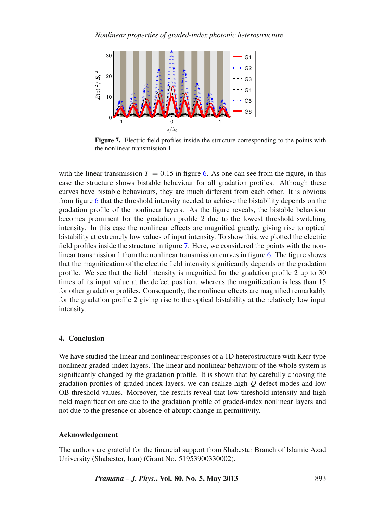<span id="page-6-0"></span>

**Figure 7.** Electric field profiles inside the structure corresponding to the points with the nonlinear transmission 1.

with the linear transmission  $T = 0.15$  in figure [6.](#page-5-1) As one can see from the figure, in this case the structure shows bistable behaviour for all gradation profiles. Although these curves have bistable behaviours, they are much different from each other. It is obvious from figure [6](#page-5-1) that the threshold intensity needed to achieve the bistability depends on the gradation profile of the nonlinear layers. As the figure reveals, the bistable behaviour becomes prominent for the gradation profile 2 due to the lowest threshold switching intensity. In this case the nonlinear effects are magnified greatly, giving rise to optical bistability at extremely low values of input intensity. To show this, we plotted the electric field profiles inside the structure in figure [7.](#page-6-0) Here, we considered the points with the nonlinear transmission 1 from the nonlinear transmission curves in figure [6.](#page-5-1) The figure shows that the magnification of the electric field intensity significantly depends on the gradation profile. We see that the field intensity is magnified for the gradation profile 2 up to 30 times of its input value at the defect position, whereas the magnification is less than 15 for other gradation profiles. Consequently, the nonlinear effects are magnified remarkably for the gradation profile 2 giving rise to the optical bistability at the relatively low input intensity.

# **4. Conclusion**

We have studied the linear and nonlinear responses of a 1D heterostructure with Kerr-type nonlinear graded-index layers. The linear and nonlinear behaviour of the whole system is significantly changed by the gradation profile. It is shown that by carefully choosing the gradation profiles of graded-index layers, we can realize high *Q* defect modes and low OB threshold values. Moreover, the results reveal that low threshold intensity and high field magnification are due to the gradation profile of graded-index nonlinear layers and not due to the presence or absence of abrupt change in permittivity.

## **Acknowledgement**

The authors are grateful for the financial support from Shabestar Branch of Islamic Azad University (Shabester, Iran) (Grant No. 51953900330002).